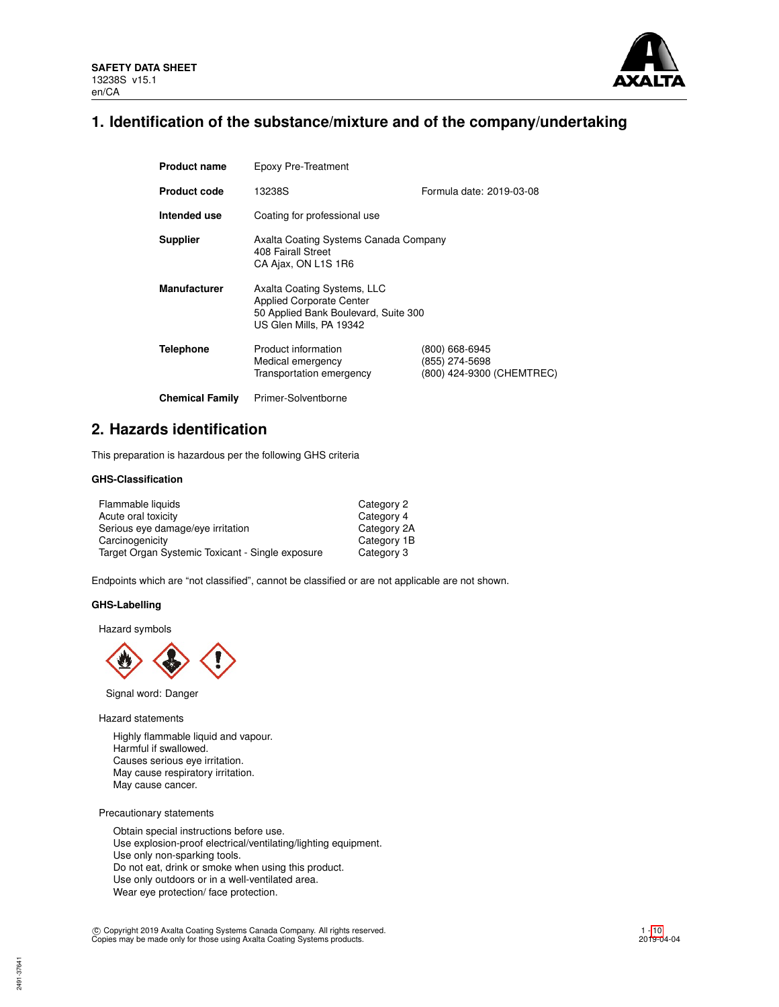

# **1. Identification of the substance/mixture and of the company/undertaking**

| <b>Product name</b>    | Epoxy Pre-Treatment                                                                                                               |                                                               |
|------------------------|-----------------------------------------------------------------------------------------------------------------------------------|---------------------------------------------------------------|
| <b>Product code</b>    | 13238S                                                                                                                            | Formula date: 2019-03-08                                      |
| Intended use           | Coating for professional use                                                                                                      |                                                               |
| <b>Supplier</b>        | Axalta Coating Systems Canada Company<br>408 Fairall Street<br>CA Ajax, ON L1S 1R6                                                |                                                               |
| <b>Manufacturer</b>    | Axalta Coating Systems, LLC<br><b>Applied Corporate Center</b><br>50 Applied Bank Boulevard, Suite 300<br>US Glen Mills, PA 19342 |                                                               |
| <b>Telephone</b>       | Product information<br>Medical emergency<br>Transportation emergency                                                              | (800) 668-6945<br>(855) 274-5698<br>(800) 424-9300 (CHEMTREC) |
| <b>Chemical Family</b> | Primer-Solventborne                                                                                                               |                                                               |

# **2. Hazards identification**

This preparation is hazardous per the following GHS criteria

# **GHS-Classification**

| Flammable liquids                                | Category 2  |
|--------------------------------------------------|-------------|
| Acute oral toxicity                              | Category 4  |
| Serious eye damage/eye irritation                | Category 2A |
| Carcinogenicity                                  | Category 1B |
| Target Organ Systemic Toxicant - Single exposure | Category 3  |

Endpoints which are "not classified", cannot be classified or are not applicable are not shown.

# **GHS-Labelling**

Hazard symbols



Signal word: Danger

Hazard statements

Highly flammable liquid and vapour. Harmful if swallowed. Causes serious eye irritation. May cause respiratory irritation. May cause cancer.

Precautionary statements

Obtain special instructions before use. Use explosion-proof electrical/ventilating/lighting equipment. Use only non-sparking tools. Do not eat, drink or smoke when using this product. Use only outdoors or in a well-ventilated area. Wear eye protection/ face protection.

c Copyright 2019 Axalta Coating Systems Canada Company. All rights reserved. Copies may be made only for those using Axalta Coating Systems products.

2491-37641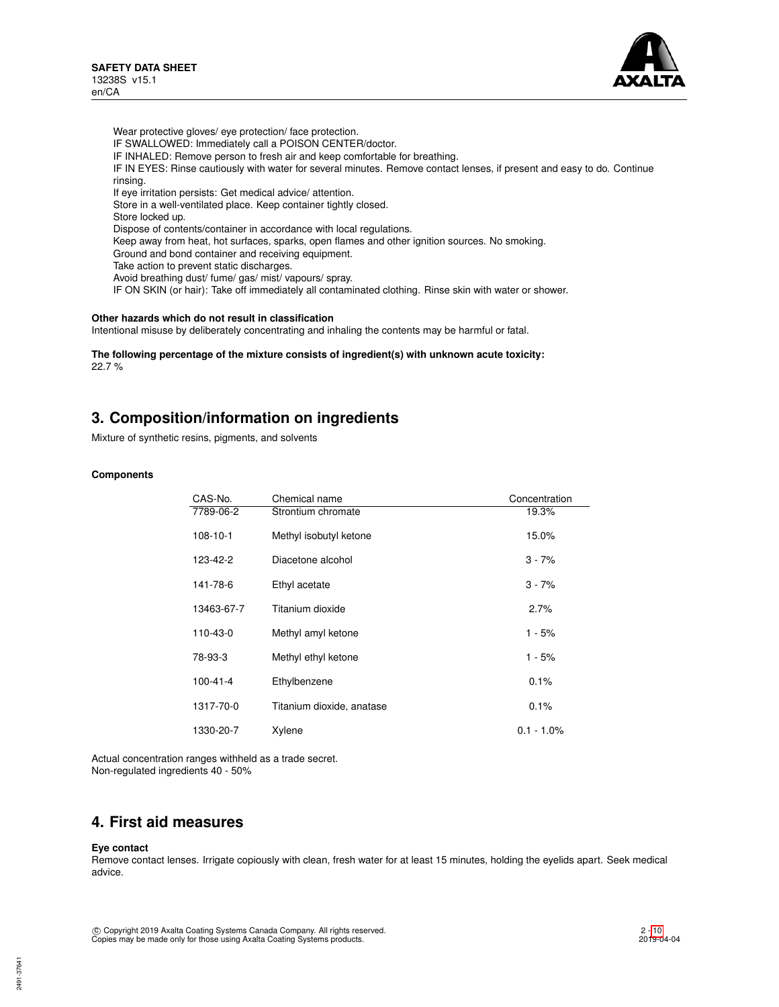

Wear protective gloves/ eye protection/ face protection. IF SWALLOWED: Immediately call a POISON CENTER/doctor. IF INHALED: Remove person to fresh air and keep comfortable for breathing. IF IN EYES: Rinse cautiously with water for several minutes. Remove contact lenses, if present and easy to do. Continue rinsing. If eye irritation persists: Get medical advice/ attention. Store in a well-ventilated place. Keep container tightly closed. Store locked up. Dispose of contents/container in accordance with local regulations. Keep away from heat, hot surfaces, sparks, open flames and other ignition sources. No smoking. Ground and bond container and receiving equipment. Take action to prevent static discharges. Avoid breathing dust/ fume/ gas/ mist/ vapours/ spray. IF ON SKIN (or hair): Take off immediately all contaminated clothing. Rinse skin with water or shower.

### **Other hazards which do not result in classification**

Intentional misuse by deliberately concentrating and inhaling the contents may be harmful or fatal.

**The following percentage of the mixture consists of ingredient(s) with unknown acute toxicity:** 22.7 %

# **3. Composition/information on ingredients**

Mixture of synthetic resins, pigments, and solvents

# **Components**

| CAS-No.        | Chemical name             | Concentration |
|----------------|---------------------------|---------------|
| 7789-06-2      | Strontium chromate        | 19.3%         |
| $108 - 10 - 1$ | Methyl isobutyl ketone    | 15.0%         |
| 123-42-2       | Diacetone alcohol         | $3 - 7%$      |
| 141-78-6       | Ethyl acetate             | $3 - 7%$      |
| 13463-67-7     | Titanium dioxide          | 2.7%          |
| 110-43-0       | Methyl amyl ketone        | 1 - 5%        |
| 78-93-3        | Methyl ethyl ketone       | 1 - 5%        |
| $100 - 41 - 4$ | Ethylbenzene              | 0.1%          |
| 1317-70-0      | Titanium dioxide, anatase | 0.1%          |
| 1330-20-7      | Xylene                    | $0.1 - 1.0\%$ |

Actual concentration ranges withheld as a trade secret. Non-regulated ingredients 40 - 50%

# **4. First aid measures**

#### **Eye contact**

Remove contact lenses. Irrigate copiously with clean, fresh water for at least 15 minutes, holding the eyelids apart. Seek medical advice.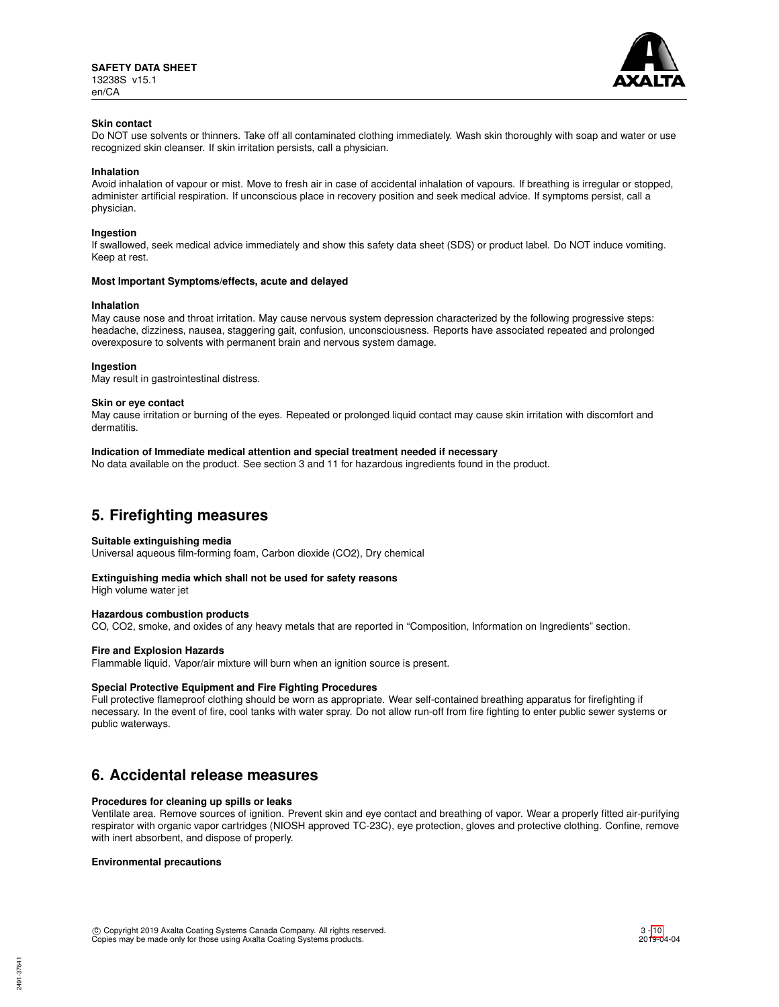

### **Skin contact**

Do NOT use solvents or thinners. Take off all contaminated clothing immediately. Wash skin thoroughly with soap and water or use recognized skin cleanser. If skin irritation persists, call a physician.

#### **Inhalation**

Avoid inhalation of vapour or mist. Move to fresh air in case of accidental inhalation of vapours. If breathing is irregular or stopped, administer artificial respiration. If unconscious place in recovery position and seek medical advice. If symptoms persist, call a physician.

#### **Ingestion**

If swallowed, seek medical advice immediately and show this safety data sheet (SDS) or product label. Do NOT induce vomiting. Keep at rest.

#### **Most Important Symptoms/effects, acute and delayed**

#### **Inhalation**

May cause nose and throat irritation. May cause nervous system depression characterized by the following progressive steps: headache, dizziness, nausea, staggering gait, confusion, unconsciousness. Reports have associated repeated and prolonged overexposure to solvents with permanent brain and nervous system damage.

#### **Ingestion**

May result in gastrointestinal distress.

#### **Skin or eye contact**

May cause irritation or burning of the eyes. Repeated or prolonged liquid contact may cause skin irritation with discomfort and dermatitis.

#### **Indication of Immediate medical attention and special treatment needed if necessary**

No data available on the product. See section 3 and 11 for hazardous ingredients found in the product.

# **5. Firefighting measures**

#### **Suitable extinguishing media**

Universal aqueous film-forming foam, Carbon dioxide (CO2), Dry chemical

#### **Extinguishing media which shall not be used for safety reasons**

High volume water jet

#### **Hazardous combustion products**

CO, CO2, smoke, and oxides of any heavy metals that are reported in "Composition, Information on Ingredients" section.

#### **Fire and Explosion Hazards**

Flammable liquid. Vapor/air mixture will burn when an ignition source is present.

#### **Special Protective Equipment and Fire Fighting Procedures**

Full protective flameproof clothing should be worn as appropriate. Wear self-contained breathing apparatus for firefighting if necessary. In the event of fire, cool tanks with water spray. Do not allow run-off from fire fighting to enter public sewer systems or public waterways.

# **6. Accidental release measures**

#### **Procedures for cleaning up spills or leaks**

Ventilate area. Remove sources of ignition. Prevent skin and eye contact and breathing of vapor. Wear a properly fitted air-purifying respirator with organic vapor cartridges (NIOSH approved TC-23C), eye protection, gloves and protective clothing. Confine, remove with inert absorbent, and dispose of properly.

### **Environmental precautions**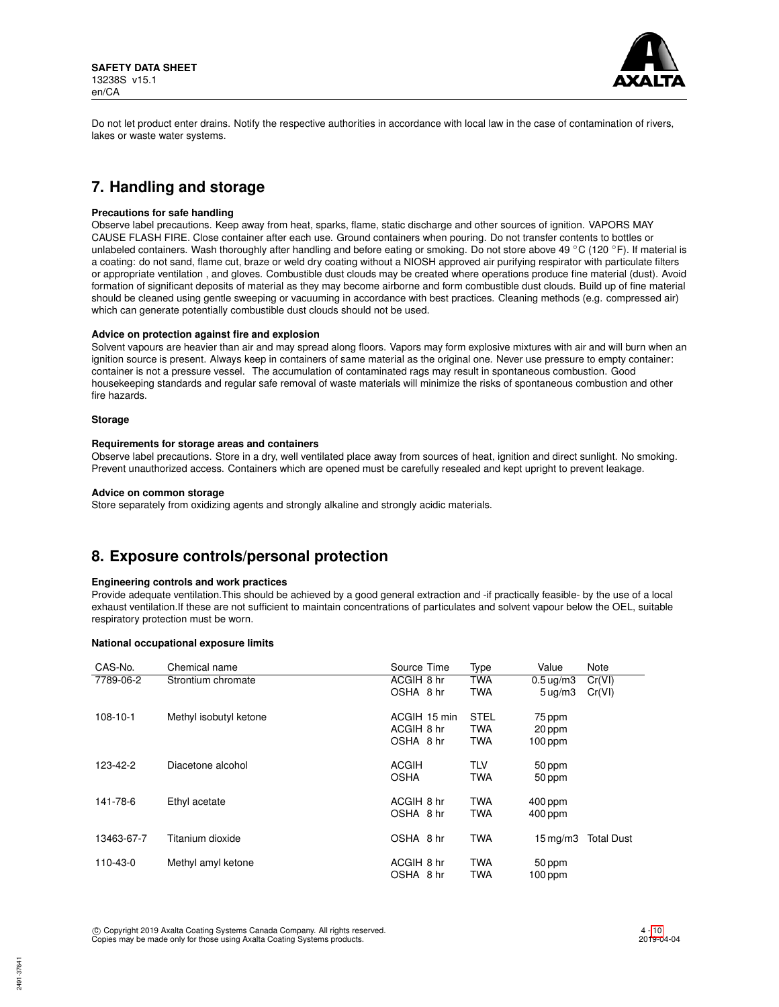

Do not let product enter drains. Notify the respective authorities in accordance with local law in the case of contamination of rivers, lakes or waste water systems.

# **7. Handling and storage**

#### **Precautions for safe handling**

Observe label precautions. Keep away from heat, sparks, flame, static discharge and other sources of ignition. VAPORS MAY CAUSE FLASH FIRE. Close container after each use. Ground containers when pouring. Do not transfer contents to bottles or unlabeled containers. Wash thoroughly after handling and before eating or smoking. Do not store above 49 °C (120 °F). If material is a coating: do not sand, flame cut, braze or weld dry coating without a NIOSH approved air purifying respirator with particulate filters or appropriate ventilation , and gloves. Combustible dust clouds may be created where operations produce fine material (dust). Avoid formation of significant deposits of material as they may become airborne and form combustible dust clouds. Build up of fine material should be cleaned using gentle sweeping or vacuuming in accordance with best practices. Cleaning methods (e.g. compressed air) which can generate potentially combustible dust clouds should not be used.

#### **Advice on protection against fire and explosion**

Solvent vapours are heavier than air and may spread along floors. Vapors may form explosive mixtures with air and will burn when an ignition source is present. Always keep in containers of same material as the original one. Never use pressure to empty container: container is not a pressure vessel. The accumulation of contaminated rags may result in spontaneous combustion. Good housekeeping standards and regular safe removal of waste materials will minimize the risks of spontaneous combustion and other fire hazards.

### **Storage**

### **Requirements for storage areas and containers**

Observe label precautions. Store in a dry, well ventilated place away from sources of heat, ignition and direct sunlight. No smoking. Prevent unauthorized access. Containers which are opened must be carefully resealed and kept upright to prevent leakage.

### **Advice on common storage**

Store separately from oxidizing agents and strongly alkaline and strongly acidic materials.

# **8. Exposure controls/personal protection**

# **Engineering controls and work practices**

Provide adequate ventilation.This should be achieved by a good general extraction and -if practically feasible- by the use of a local exhaust ventilation.If these are not sufficient to maintain concentrations of particulates and solvent vapour below the OEL, suitable respiratory protection must be worn.

# **National occupational exposure limits**

| CAS-No.        | Chemical name          | Source Time  | Type        | Value                  | Note              |
|----------------|------------------------|--------------|-------------|------------------------|-------------------|
| 7789-06-2      | Strontium chromate     | ACGIH 8 hr   | <b>TWA</b>  | $0.5 \,\mathrm{uq/m3}$ | Cr(VI)            |
|                |                        | OSHA 8 hr    | <b>TWA</b>  | 5 uq/m3                | Cr(VI)            |
| $108 - 10 - 1$ | Methyl isobutyl ketone | ACGIH 15 min | <b>STEL</b> | 75 ppm                 |                   |
|                |                        | ACGIH 8 hr   | <b>TWA</b>  | 20 ppm                 |                   |
|                |                        | OSHA 8 hr    | <b>TWA</b>  | $100$ ppm              |                   |
| 123-42-2       | Diacetone alcohol      | <b>ACGIH</b> | <b>TLV</b>  | 50 ppm                 |                   |
|                |                        | <b>OSHA</b>  | <b>TWA</b>  | 50 ppm                 |                   |
| 141-78-6       | Ethyl acetate          | ACGIH 8 hr   | <b>TWA</b>  | $400$ ppm              |                   |
|                |                        | OSHA 8 hr    | <b>TWA</b>  | $400$ ppm              |                   |
| 13463-67-7     | Titanium dioxide       | OSHA 8 hr    | <b>TWA</b>  | $15 \,\mathrm{mq/m}$   | <b>Total Dust</b> |
| 110-43-0       | Methyl amyl ketone     | ACGIH 8 hr   | <b>TWA</b>  | 50 ppm                 |                   |
|                |                        | OSHA 8 hr    | TWA         | $100$ ppm              |                   |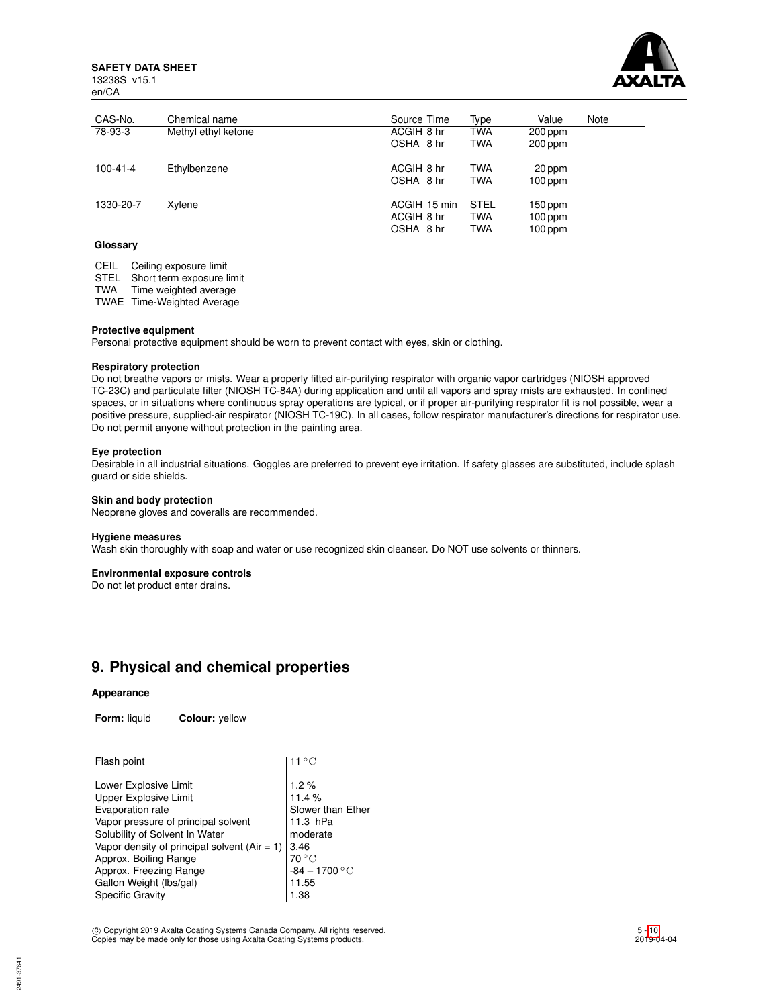**SAFETY DATA SHEET**

13238S v15.1 en/CA



| CAS-No.        | Chemical name       | Source Time                             | Type                             | Value                               | Note |
|----------------|---------------------|-----------------------------------------|----------------------------------|-------------------------------------|------|
| 78-93-3        | Methyl ethyl ketone | ACGIH 8 hr<br>OSHA 8 hr                 | TWA<br><b>TWA</b>                | $200$ ppm<br>200 ppm                |      |
| $100 - 41 - 4$ | Ethylbenzene        | ACGIH 8 hr<br>OSHA 8 hr                 | <b>TWA</b><br><b>TWA</b>         | 20 ppm<br>$100$ ppm                 |      |
| 1330-20-7      | Xylene              | ACGIH 15 min<br>ACGIH 8 hr<br>OSHA 8 hr | <b>STEL</b><br>TWA<br><b>TWA</b> | $150$ ppm<br>$100$ ppm<br>$100$ ppm |      |
| C <sub>1</sub> |                     |                                         |                                  |                                     |      |

**Glossary**

CEIL Ceiling exposure limit

STEL Short term exposure limit

TWA Time weighted average

TWAE Time-Weighted Average

### **Protective equipment**

Personal protective equipment should be worn to prevent contact with eyes, skin or clothing.

### **Respiratory protection**

Do not breathe vapors or mists. Wear a properly fitted air-purifying respirator with organic vapor cartridges (NIOSH approved TC-23C) and particulate filter (NIOSH TC-84A) during application and until all vapors and spray mists are exhausted. In confined spaces, or in situations where continuous spray operations are typical, or if proper air-purifying respirator fit is not possible, wear a positive pressure, supplied-air respirator (NIOSH TC-19C). In all cases, follow respirator manufacturer's directions for respirator use. Do not permit anyone without protection in the painting area.

# **Eye protection**

Desirable in all industrial situations. Goggles are preferred to prevent eye irritation. If safety glasses are substituted, include splash guard or side shields.

### **Skin and body protection**

Neoprene gloves and coveralls are recommended.

#### **Hygiene measures**

Wash skin thoroughly with soap and water or use recognized skin cleanser. Do NOT use solvents or thinners.

# **Environmental exposure controls**

Do not let product enter drains.

# **9. Physical and chemical properties**

# **Appearance**

**Form:** liquid **Colour:** yellow

| $11^{\circ}$ C    |
|-------------------|
| 1.2%              |
| 11.4%             |
| Slower than Ether |
| 11.3 hPa          |
| moderate          |
| 3.46              |
| $70^{\circ}$ C    |
| $-84 - 1700$ °C   |
| 11.55             |
| 1.38              |
|                   |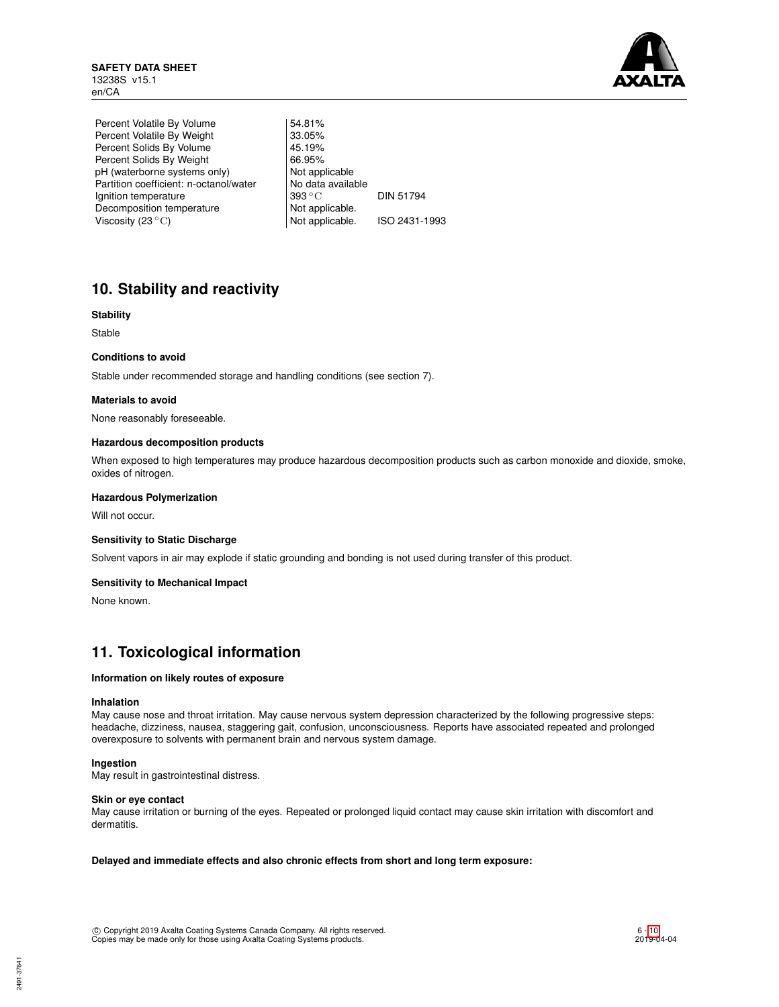

Percent Volatile By Volume | 54.81% Percent Volatile By Weight 33.05%<br>Percent Solids By Volume 45.19% Percent Solids By Volume 45.19%<br>Percent Solids By Weight 66.95% Percent Solids By Weight pH (waterborne systems only) Not applicable Partition coefficient: n-octanol/water | No data available Ignition temperature 393 °C DIN 51794<br>Decomposition temperature Not applicable. Decomposition temperature Viscosity  $(23 °C)$  Not applicable. ISO 2431-1993

# **10. Stability and reactivity**

# **Stability**

Stable

# **Conditions to avoid**

Stable under recommended storage and handling conditions (see section 7).

### **Materials to avoid**

None reasonably foreseeable.

#### **Hazardous decomposition products**

When exposed to high temperatures may produce hazardous decomposition products such as carbon monoxide and dioxide, smoke, oxides of nitrogen.

# **Hazardous Polymerization**

Will not occur.

# **Sensitivity to Static Discharge**

Solvent vapors in air may explode if static grounding and bonding is not used during transfer of this product.

#### **Sensitivity to Mechanical Impact**

None known.

# **11. Toxicological information**

# **Information on likely routes of exposure**

#### **Inhalation**

May cause nose and throat irritation. May cause nervous system depression characterized by the following progressive steps: headache, dizziness, nausea, staggering gait, confusion, unconsciousness. Reports have associated repeated and prolonged overexposure to solvents with permanent brain and nervous system damage.

#### **Ingestion**

May result in gastrointestinal distress.

### **Skin or eye contact**

May cause irritation or burning of the eyes. Repeated or prolonged liquid contact may cause skin irritation with discomfort and dermatitis.

**Delayed and immediate effects and also chronic effects from short and long term exposure:**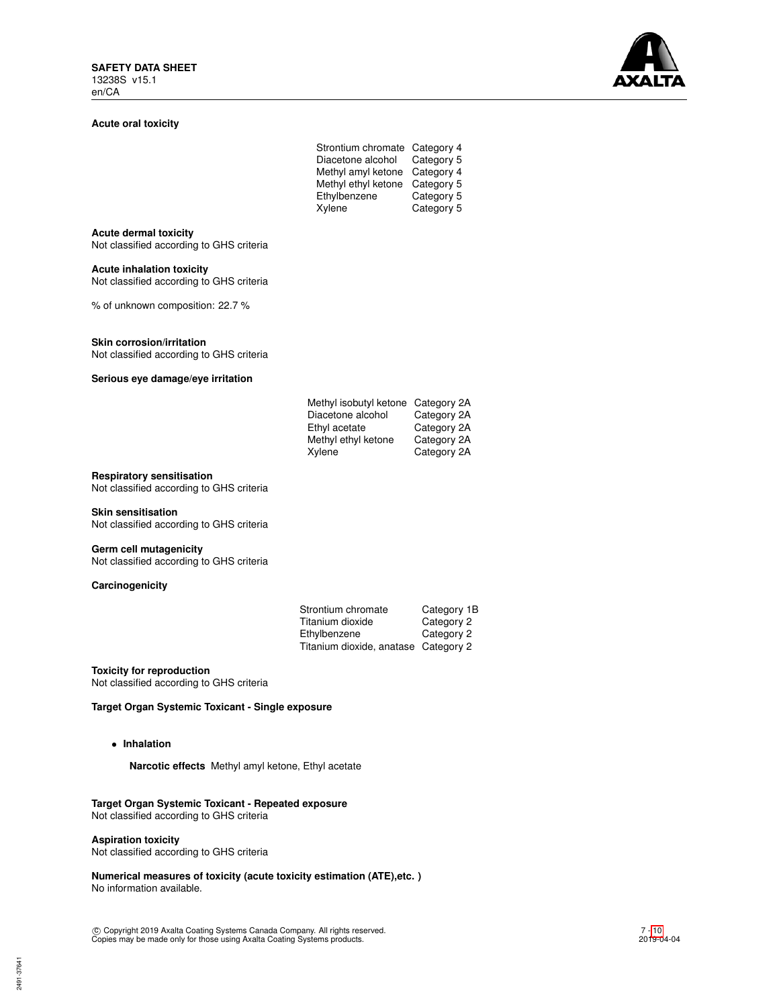### **Acute oral toxicity**

| <b>AXALTA</b> |  |
|---------------|--|

| Strontium chromate  | Category 4 |
|---------------------|------------|
| Diacetone alcohol   | Category 5 |
| Methyl amyl ketone  | Category 4 |
| Methyl ethyl ketone | Category 5 |
| Ethylbenzene        | Category 5 |
| Xylene              | Category 5 |
|                     |            |

# **Acute dermal toxicity**

Not classified according to GHS criteria

#### **Acute inhalation toxicity**

Not classified according to GHS criteria

% of unknown composition: 22.7 %

#### **Skin corrosion/irritation**

Not classified according to GHS criteria

### **Serious eye damage/eye irritation**

| Methyl isobutyl ketone Category 2A |             |
|------------------------------------|-------------|
| Diacetone alcohol                  | Category 2A |
| Ethyl acetate                      | Category 2A |
| Methyl ethyl ketone                | Category 2A |
| Xylene                             | Category 2A |
|                                    |             |

# **Respiratory sensitisation**

Not classified according to GHS criteria

#### **Skin sensitisation**

Not classified according to GHS criteria

#### **Germ cell mutagenicity**

Not classified according to GHS criteria

# **Carcinogenicity**

| Strontium chromate                   | Category 1B |
|--------------------------------------|-------------|
| Titanium dioxide                     | Category 2  |
| Ethylbenzene                         | Category 2  |
| Titanium dioxide, anatase Category 2 |             |

### **Toxicity for reproduction**

Not classified according to GHS criteria

# **Target Organ Systemic Toxicant - Single exposure**

• **Inhalation**

**Narcotic effects** Methyl amyl ketone, Ethyl acetate

### **Target Organ Systemic Toxicant - Repeated exposure** Not classified according to GHS criteria

**Aspiration toxicity**

Not classified according to GHS criteria

**Numerical measures of toxicity (acute toxicity estimation (ATE),etc. )** No information available.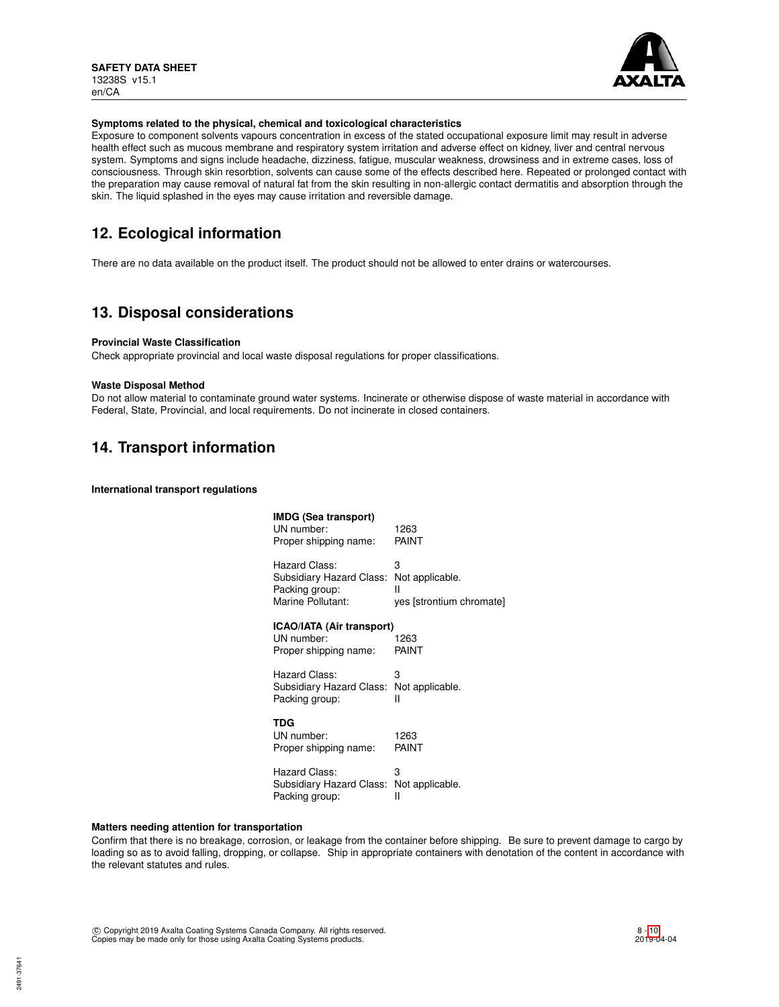

### **Symptoms related to the physical, chemical and toxicological characteristics**

Exposure to component solvents vapours concentration in excess of the stated occupational exposure limit may result in adverse health effect such as mucous membrane and respiratory system irritation and adverse effect on kidney, liver and central nervous system. Symptoms and signs include headache, dizziness, fatigue, muscular weakness, drowsiness and in extreme cases, loss of consciousness. Through skin resorbtion, solvents can cause some of the effects described here. Repeated or prolonged contact with the preparation may cause removal of natural fat from the skin resulting in non-allergic contact dermatitis and absorption through the skin. The liquid splashed in the eyes may cause irritation and reversible damage.

# **12. Ecological information**

There are no data available on the product itself. The product should not be allowed to enter drains or watercourses.

# **13. Disposal considerations**

# **Provincial Waste Classification**

Check appropriate provincial and local waste disposal regulations for proper classifications.

#### **Waste Disposal Method**

Do not allow material to contaminate ground water systems. Incinerate or otherwise dispose of waste material in accordance with Federal, State, Provincial, and local requirements. Do not incinerate in closed containers.

# **14. Transport information**

**International transport regulations**

| <b>IMDG (Sea transport)</b><br>UN number:<br>Proper shipping name:               | 1263<br>PAINT                                         |
|----------------------------------------------------------------------------------|-------------------------------------------------------|
| Hazard Class:<br>Subsidiary Hazard Class:<br>Packing group:<br>Marine Pollutant: | 3<br>Not applicable.<br>Ш<br>yes [strontium chromate] |
| ICAO/IATA (Air transport)<br>UN number:<br>Proper shipping name:                 | 1263<br><b>PAINT</b>                                  |
| Hazard Class:<br>Subsidiary Hazard Class: Not applicable.<br>Packing group:      | 3<br>Ш                                                |
| TDG<br>UN number:<br>Proper shipping name:                                       | 1263<br>PAINT                                         |
| Hazard Class:<br>Subsidiary Hazard Class: Not applicable.<br>Packing group:      | 3<br>Ш                                                |
|                                                                                  |                                                       |

### **Matters needing attention for transportation**

Confirm that there is no breakage, corrosion, or leakage from the container before shipping. Be sure to prevent damage to cargo by loading so as to avoid falling, dropping, or collapse. Ship in appropriate containers with denotation of the content in accordance with the relevant statutes and rules.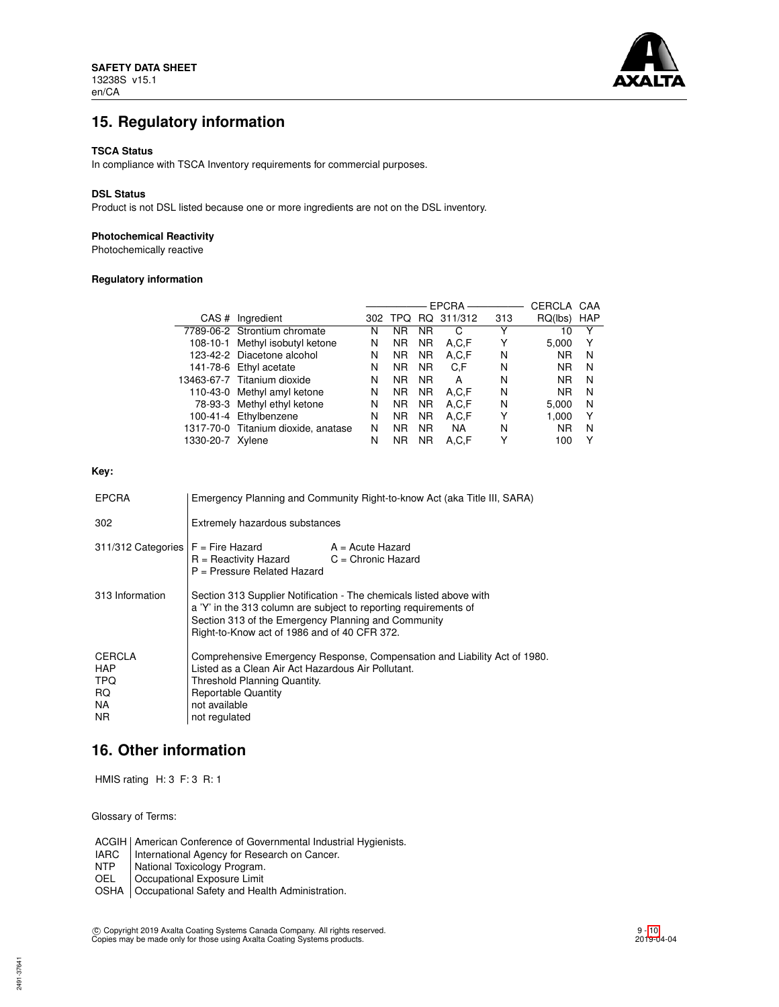

# **15. Regulatory information**

#### **TSCA Status**

In compliance with TSCA Inventory requirements for commercial purposes.

#### **DSL Status**

Product is not DSL listed because one or more ingredients are not on the DSL inventory.

# **Photochemical Reactivity**

Photochemically reactive

# **Regulatory information**

L

|                                     |   |           |           |           | <b>CERCLA</b>        | CAA       |            |
|-------------------------------------|---|-----------|-----------|-----------|----------------------|-----------|------------|
| CAS # Ingredient                    |   |           |           |           | 313                  | RQ(lbs)   | <b>HAP</b> |
| 7789-06-2 Strontium chromate        | N | <b>NR</b> | <b>NR</b> | C         |                      | 10        | Υ          |
| 108-10-1 Methyl isobutyl ketone     | N | <b>NR</b> | <b>NR</b> | A.C.F     |                      | 5,000     | Υ          |
| 123-42-2 Diacetone alcohol          | N | <b>NR</b> | <b>NR</b> | A.C.F     | N                    | <b>NR</b> | N          |
| 141-78-6 Ethyl acetate              | N | <b>NR</b> | <b>NR</b> | C.F       | N                    | <b>NR</b> | N          |
| 13463-67-7 Titanium dioxide         | N | <b>NR</b> | <b>NR</b> | А         | N                    | <b>NR</b> | N          |
| 110-43-0 Methyl amyl ketone         | N | <b>NR</b> | <b>NR</b> | A.C.F     | N                    | <b>NR</b> | N          |
| 78-93-3 Methyl ethyl ketone         | N | <b>NR</b> | <b>NR</b> | A,C,F     | N                    | 5.000     | N          |
| 100-41-4 Ethylbenzene               | N | <b>NR</b> | <b>NR</b> | A.C.F     | Υ                    | 1,000     | Υ          |
| 1317-70-0 Titanium dioxide, anatase | N | <b>NR</b> | <b>NR</b> | <b>NA</b> | N                    | <b>NR</b> | N          |
| 1330-20-7 Xylene                    | N | <b>NR</b> | <b>NR</b> | A.C.F     |                      | 100       | Υ          |
|                                     |   |           | 302 TPQ   |           | EPCRA-<br>RQ 311/312 |           |            |

# **Key:**

| <b>EPCRA</b>                                            | Emergency Planning and Community Right-to-know Act (aka Title III, SARA)                                                                                                                                                                       |                  |
|---------------------------------------------------------|------------------------------------------------------------------------------------------------------------------------------------------------------------------------------------------------------------------------------------------------|------------------|
| 302                                                     | Extremely hazardous substances                                                                                                                                                                                                                 |                  |
| $311/312$ Categories $F =$ Fire Hazard                  | $R =$ Reactivity Hazard $C =$ Chronic Hazard<br>P = Pressure Related Hazard                                                                                                                                                                    | A = Acute Hazard |
| 313 Information                                         | Section 313 Supplier Notification - The chemicals listed above with<br>a 'Y' in the 313 column are subject to reporting requirements of<br>Section 313 of the Emergency Planning and Community<br>Right-to-Know act of 1986 and of 40 CFR 372. |                  |
| <b>CERCLA</b><br>HAP<br><b>TPQ</b><br>RQ.<br>NA.<br>NR. | Comprehensive Emergency Response, Compensation and Liability Act of 1980.<br>Listed as a Clean Air Act Hazardous Air Pollutant.<br>Threshold Planning Quantity.<br><b>Reportable Quantity</b><br>not available<br>not regulated                |                  |

# **16. Other information**

HMIS rating H: 3 F: 3 R: 1

Glossary of Terms:

ACGIH | American Conference of Governmental Industrial Hygienists.<br>IARC | International Agency for Research on Cancer.

IARC | International Agency for Research on Cancer.<br>NTP | National Toxicology Program.

National Toxicology Program.

OEL Occupational Exposure Limit

OSHA | Occupational Safety and Health Administration.